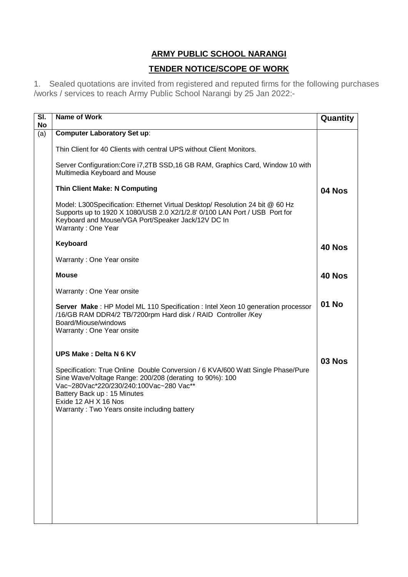## **ARMY PUBLIC SCHOOL NARANGI**

## **TENDER NOTICE/SCOPE OF WORK**

1. Sealed quotations are invited from registered and reputed firms for the following purchases /works / services to reach Army Public School Narangi by 25 Jan 2022:-

| SI.<br>No | <b>Name of Work</b>                                                                                                                                                                                                                                                                          | Quantity |
|-----------|----------------------------------------------------------------------------------------------------------------------------------------------------------------------------------------------------------------------------------------------------------------------------------------------|----------|
| (a)       | <b>Computer Laboratory Set up:</b>                                                                                                                                                                                                                                                           |          |
|           | Thin Client for 40 Clients with central UPS without Client Monitors.                                                                                                                                                                                                                         |          |
|           | Server Configuration: Core i7, 2TB SSD, 16 GB RAM, Graphics Card, Window 10 with<br>Multimedia Keyboard and Mouse                                                                                                                                                                            |          |
|           | <b>Thin Client Make: N Computing</b>                                                                                                                                                                                                                                                         | 04 Nos   |
|           | Model: L300Specification: Ethernet Virtual Desktop/ Resolution 24 bit @ 60 Hz<br>Supports up to 1920 X 1080/USB 2.0 X2/1/2.8' 0/100 LAN Port / USB Port for<br>Keyboard and Mouse/VGA Port/Speaker Jack/12V DC In<br>Warranty: One Year                                                      |          |
|           | Keyboard                                                                                                                                                                                                                                                                                     | 40 Nos   |
|           | Warranty: One Year onsite                                                                                                                                                                                                                                                                    |          |
|           | <b>Mouse</b>                                                                                                                                                                                                                                                                                 | 40 Nos   |
|           | Warranty: One Year onsite                                                                                                                                                                                                                                                                    |          |
|           | Server Make: HP Model ML 110 Specification: Intel Xeon 10 generation processor<br>/16/GB RAM DDR4/2 TB/7200rpm Hard disk / RAID Controller /Key<br>Board/Miouse/windows<br>Warranty: One Year onsite                                                                                         | 01 No    |
|           | <b>UPS Make: Delta N 6 KV</b>                                                                                                                                                                                                                                                                |          |
|           | Specification: True Online Double Conversion / 6 KVA/600 Watt Single Phase/Pure<br>Sine Wave/Voltage Range: 200/208 (derating to 90%): 100<br>Vac~280Vac*220/230/240:100Vac~280 Vac**<br>Battery Back up: 15 Minutes<br>Exide 12 AH X 16 Nos<br>Warranty: Two Years onsite including battery | 03 Nos   |
|           |                                                                                                                                                                                                                                                                                              |          |
|           |                                                                                                                                                                                                                                                                                              |          |
|           |                                                                                                                                                                                                                                                                                              |          |
|           |                                                                                                                                                                                                                                                                                              |          |
|           |                                                                                                                                                                                                                                                                                              |          |
|           |                                                                                                                                                                                                                                                                                              |          |
|           |                                                                                                                                                                                                                                                                                              |          |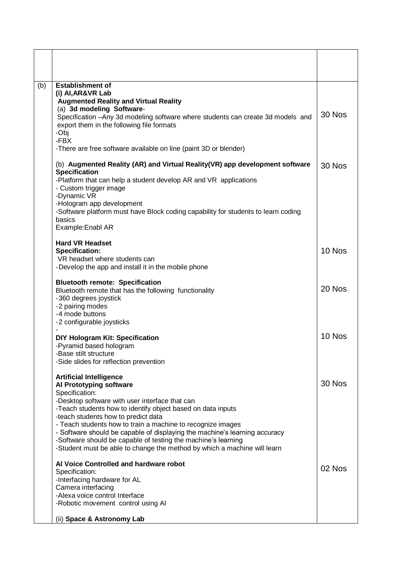| (b) | <b>Establishment of</b><br>(i) AI, AR&VR Lab<br><b>Augmented Reality and Virtual Reality</b><br>(a) 3d modeling Software-<br>Specification - Any 3d modeling software where students can create 3d models and<br>export them in the following file formats<br>-Obj<br>-FBX<br>-There are free software available on line (paint 3D or blender)                                                                                                                                                                                | 30 Nos |
|-----|-------------------------------------------------------------------------------------------------------------------------------------------------------------------------------------------------------------------------------------------------------------------------------------------------------------------------------------------------------------------------------------------------------------------------------------------------------------------------------------------------------------------------------|--------|
|     | (b) Augmented Reality (AR) and Virtual Reality (VR) app development software<br><b>Specification</b><br>-Platform that can help a student develop AR and VR applications<br>- Custom trigger image<br>-Dynamic VR<br>-Hologram app development<br>-Software platform must have Block coding capability for students to learn coding<br>basics<br>Example: Enabl AR                                                                                                                                                            | 30 Nos |
|     | <b>Hard VR Headset</b><br><b>Specification:</b><br>VR headset where students can<br>-Develop the app and install it in the mobile phone                                                                                                                                                                                                                                                                                                                                                                                       | 10 Nos |
|     | <b>Bluetooth remote: Specification</b><br>Bluetooth remote that has the following functionality<br>-360 degrees joystick<br>-2 pairing modes<br>-4 mode buttons<br>-2 configurable joysticks                                                                                                                                                                                                                                                                                                                                  | 20 Nos |
|     | DIY Hologram Kit: Specification<br>-Pyramid based hologram<br>-Base stilt structure<br>-Side slides for reflection prevention                                                                                                                                                                                                                                                                                                                                                                                                 | 10 Nos |
|     | <b>Artificial Intelligence</b><br>Al Prototyping software<br>Specification:<br>-Desktop software with user interface that can<br>-Teach students how to identify object based on data inputs<br>-teach students how to predict data<br>- Teach students how to train a machine to recognize images<br>- Software should be capable of displaying the machine's learning accuracy<br>-Software should be capable of testing the machine's learning<br>-Student must be able to change the method by which a machine will learn | 30 Nos |
|     | Al Voice Controlled and hardware robot<br>Specification:<br>-Interfacing hardware for AL<br>Camera interfacing<br>-Alexa voice control Interface<br>-Robotic movement control using AI<br>(ii) Space & Astronomy Lab                                                                                                                                                                                                                                                                                                          | 02 Nos |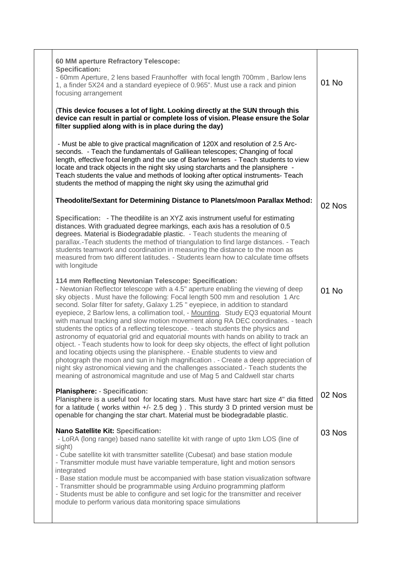| 60 MM aperture Refractory Telescope:<br><b>Specification:</b><br>- 60mm Aperture, 2 lens based Fraunhoffer with focal length 700mm, Barlow lens<br>1, a finder 5X24 and a standard eyepiece of 0.965". Must use a rack and pinion<br>focusing arrangement                                                                                                                                                                                                                                                                                                                                                                                                                                                                                                                                                                                                                                                                                                                                                                                                                                                  | 01 No  |
|------------------------------------------------------------------------------------------------------------------------------------------------------------------------------------------------------------------------------------------------------------------------------------------------------------------------------------------------------------------------------------------------------------------------------------------------------------------------------------------------------------------------------------------------------------------------------------------------------------------------------------------------------------------------------------------------------------------------------------------------------------------------------------------------------------------------------------------------------------------------------------------------------------------------------------------------------------------------------------------------------------------------------------------------------------------------------------------------------------|--------|
| (This device focuses a lot of light. Looking directly at the SUN through this<br>device can result in partial or complete loss of vision. Please ensure the Solar<br>filter supplied along with is in place during the day)                                                                                                                                                                                                                                                                                                                                                                                                                                                                                                                                                                                                                                                                                                                                                                                                                                                                                |        |
| - Must be able to give practical magnification of 120X and resolution of 2.5 Arc-<br>seconds. - Teach the fundamentals of Galiliean telescopes; Changing of focal<br>length, effective focal length and the use of Barlow lenses - Teach students to view<br>locate and track objects in the night sky using starcharts and the plansiphere -<br>Teach students the value and methods of looking after optical instruments- Teach<br>students the method of mapping the night sky using the azimuthal grid                                                                                                                                                                                                                                                                                                                                                                                                                                                                                                                                                                                                 |        |
| Theodolite/Sextant for Determining Distance to Planets/moon Parallax Method:                                                                                                                                                                                                                                                                                                                                                                                                                                                                                                                                                                                                                                                                                                                                                                                                                                                                                                                                                                                                                               | 02 Nos |
| Specification: - The theodilite is an XYZ axis instrument useful for estimating<br>distances. With graduated degree markings, each axis has a resolution of 0.5<br>degrees. Material is Biodegradable plastic. - Teach students the meaning of<br>parallax.-Teach students the method of triangulation to find large distances. - Teach<br>students teamwork and coordination in measuring the distance to the moon as<br>measured from two different latitudes. - Students learn how to calculate time offsets<br>with longitude                                                                                                                                                                                                                                                                                                                                                                                                                                                                                                                                                                          |        |
| 114 mm Reflecting Newtonian Telescope: Specification:<br>- Newtonian Reflector telescope with a 4.5" aperture enabling the viewing of deep<br>sky objects . Must have the following: Focal length 500 mm and resolution 1 Arc<br>second. Solar filter for safety, Galaxy 1.25 " eyepiece, in addition to standard<br>eyepiece, 2 Barlow lens, a collimation tool, - Mounting. Study EQ3 equatorial Mount<br>with manual tracking and slow motion movement along RA DEC coordinates. - teach<br>students the optics of a reflecting telescope. - teach students the physics and<br>astronomy of equatorial grid and equatorial mounts with hands on ability to track an<br>object. - Teach students how to look for deep sky objects, the effect of light pollution<br>and locating objects using the planisphere. - Enable students to view and<br>photograph the moon and sun in high magnification . - Create a deep appreciation of<br>night sky astronomical viewing and the challenges associated.- Teach students the<br>meaning of astronomical magnitude and use of Mag 5 and Caldwell star charts | 01 No  |
| <b>Planisphere: - Specification:</b><br>Planisphere is a useful tool for locating stars. Must have starc hart size 4" dia fitted<br>for a latitude (works within $+/- 2.5$ deg). This sturdy 3 D printed version must be<br>openable for changing the star chart. Material must be biodegradable plastic.                                                                                                                                                                                                                                                                                                                                                                                                                                                                                                                                                                                                                                                                                                                                                                                                  | 02 Nos |
| Nano Satellite Kit: Specification:<br>- LoRA (long range) based nano satellite kit with range of upto 1km LOS (line of<br>sight)<br>- Cube satellite kit with transmitter satellite (Cubesat) and base station module<br>- Transmitter module must have variable temperature, light and motion sensors<br>integrated<br>- Base station module must be accompanied with base station visualization software<br>- Transmitter should be programmable using Arduino programming platform<br>- Students must be able to configure and set logic for the transmitter and receiver<br>module to perform various data monitoring space simulations                                                                                                                                                                                                                                                                                                                                                                                                                                                                | 03 Nos |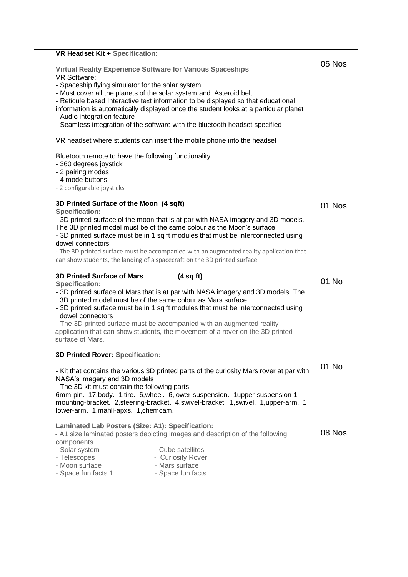| <b>VR Headset Kit + Specification:</b>                                                                                                                                                                                                                                                                                                                                                                                                                                                                             |        |
|--------------------------------------------------------------------------------------------------------------------------------------------------------------------------------------------------------------------------------------------------------------------------------------------------------------------------------------------------------------------------------------------------------------------------------------------------------------------------------------------------------------------|--------|
| <b>Virtual Reality Experience Software for Various Spaceships</b><br><b>VR Software:</b>                                                                                                                                                                                                                                                                                                                                                                                                                           | 05 Nos |
| - Spaceship flying simulator for the solar system<br>- Must cover all the planets of the solar system and Asteroid belt<br>- Reticule based Interactive text information to be displayed so that educational<br>information is automatically displayed once the student looks at a particular planet<br>- Audio integration feature                                                                                                                                                                                |        |
| - Seamless integration of the software with the bluetooth headset specified                                                                                                                                                                                                                                                                                                                                                                                                                                        |        |
| VR headset where students can insert the mobile phone into the headset                                                                                                                                                                                                                                                                                                                                                                                                                                             |        |
| Bluetooth remote to have the following functionality<br>- 360 degrees joystick<br>- 2 pairing modes<br>- 4 mode buttons<br>- 2 configurable joysticks                                                                                                                                                                                                                                                                                                                                                              |        |
| 3D Printed Surface of the Moon (4 sqft)                                                                                                                                                                                                                                                                                                                                                                                                                                                                            | 01 Nos |
| <b>Specification:</b><br>- 3D printed surface of the moon that is at par with NASA imagery and 3D models.<br>The 3D printed model must be of the same colour as the Moon's surface<br>- 3D printed surface must be in 1 sq ft modules that must be interconnected using<br>dowel connectors<br>- The 3D printed surface must be accompanied with an augmented reality application that<br>can show students, the landing of a spacecraft on the 3D printed surface.                                                |        |
| <b>3D Printed Surface of Mars</b><br>(4 sq ft)<br><b>Specification:</b><br>- 3D printed surface of Mars that is at par with NASA imagery and 3D models. The<br>3D printed model must be of the same colour as Mars surface<br>- 3D printed surface must be in 1 sq ft modules that must be interconnected using<br>dowel connectors<br>- The 3D printed surface must be accompanied with an augmented reality<br>application that can show students, the movement of a rover on the 3D printed<br>surface of Mars. | 01 No  |
| <b>3D Printed Rover: Specification:</b>                                                                                                                                                                                                                                                                                                                                                                                                                                                                            | 01 No  |
| - Kit that contains the various 3D printed parts of the curiosity Mars rover at par with<br>NASA's imagery and 3D models<br>- The 3D kit must contain the following parts<br>6mm-pin. 17, body. 1, tire. 6, wheel. 6, lower-suspension. 1upper-suspension 1<br>mounting-bracket. 2, steering-bracket. 4, swivel-bracket. 1, swivel. 1, upper-arm. 1<br>lower-arm. 1, mahli-apxs. 1, chemcam.                                                                                                                       |        |
| Laminated Lab Posters (Size: A1): Specification:<br>- A1 size laminated posters depicting images and description of the following<br>components<br>- Solar system<br>- Cube satellites<br>- Telescopes<br>- Curiosity Rover<br>- Moon surface<br>- Mars surface<br>- Space fun facts 1<br>- Space fun facts                                                                                                                                                                                                        | 08 Nos |
|                                                                                                                                                                                                                                                                                                                                                                                                                                                                                                                    |        |